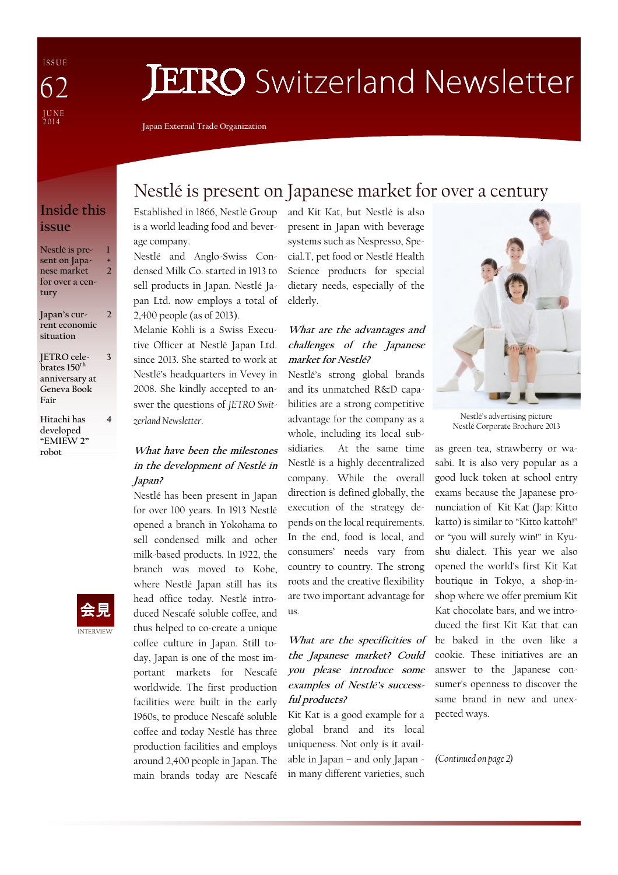I S S U E J U N E<br>2014 62

# **JETRO** Switzerland Newsletter

Japan External Trade Organization

### Inside this issue

| Nestlé is pre-  | н |
|-----------------|---|
| sent on Japa-   | ÷ |
| nese market     | 7 |
| for over a cen- |   |
| tury            |   |

Japan's current economic situation 2

JETRO celebrates 150<sup>th</sup> anniversary at Geneva Book Fair 3

4

INTERVIEW 会見

Hitachi has developed "EMIEW 2" robot



Established in 1866, Nestlé Group is a world leading food and beverage company.

Nestlé and Anglo-Swiss Condensed Milk Co. started in 1913 to sell products in Japan. Nestlé Japan Ltd. now employs a total of 2,400 people (as of 2013).

Melanie Kohli is a Swiss Executive Officer at Nestlé Japan Ltd. since 2013. She started to work at Nestlé's headquarters in Vevey in 2008. She kindly accepted to answer the questions of JETRO Switzerland Newsletter.

#### What have been the milestones in the development of Nestlé in Japan?

Nestlé has been present in Japan for over 100 years. In 1913 Nestlé opened a branch in Yokohama to sell condensed milk and other milk-based products. In 1922, the branch was moved to Kobe, where Nestlé Japan still has its head office today. Nestlé introduced Nescafé soluble coffee, and thus helped to co-create a unique coffee culture in Japan. Still today, Japan is one of the most important markets for Nescafé worldwide. The first production facilities were built in the early 1960s, to produce Nescafé soluble coffee and today Nestlé has three production facilities and employs around 2,400 people in Japan. The main brands today are Nescafé

present in Japan with beverage systems such as Nespresso, Special.T, pet food or Nestlé Health Science products for special dietary needs, especially of the elderly.

and Kit Kat, but Nestlé is also

#### What are the advantages and challenges of the Japanese market for Nestlé?

Nestlé's strong global brands and its unmatched R&D capabilities are a strong competitive advantage for the company as a whole, including its local subsidiaries. At the same time Nestlé is a highly decentralized company. While the overall direction is defined globally, the execution of the strategy depends on the local requirements. In the end, food is local, and consumers' needs vary from country to country. The strong roots and the creative flexibility are two important advantage for us.

#### What are the specificities of the Japanese market? Could you please introduce some examples of Nestlé's successful products?

Kit Kat is a good example for a global brand and its local uniqueness. Not only is it available in Japan – and only Japan in many different varieties, such



Nestlé's advertising picture Nestlé Corporate Brochure 2013

as green tea, strawberry or wasabi. It is also very popular as a good luck token at school entry exams because the Japanese pronunciation of Kit Kat (Jap: Kitto katto) is similar to "Kitto kattoh!" or "you will surely win!" in Kyushu dialect. This year we also opened the world's first Kit Kat boutique in Tokyo, a shop-inshop where we offer premium Kit Kat chocolate bars, and we introduced the first Kit Kat that can be baked in the oven like a cookie. These initiatives are an answer to the Japanese consumer's openness to discover the same brand in new and unexpected ways.

(Continued on page 2)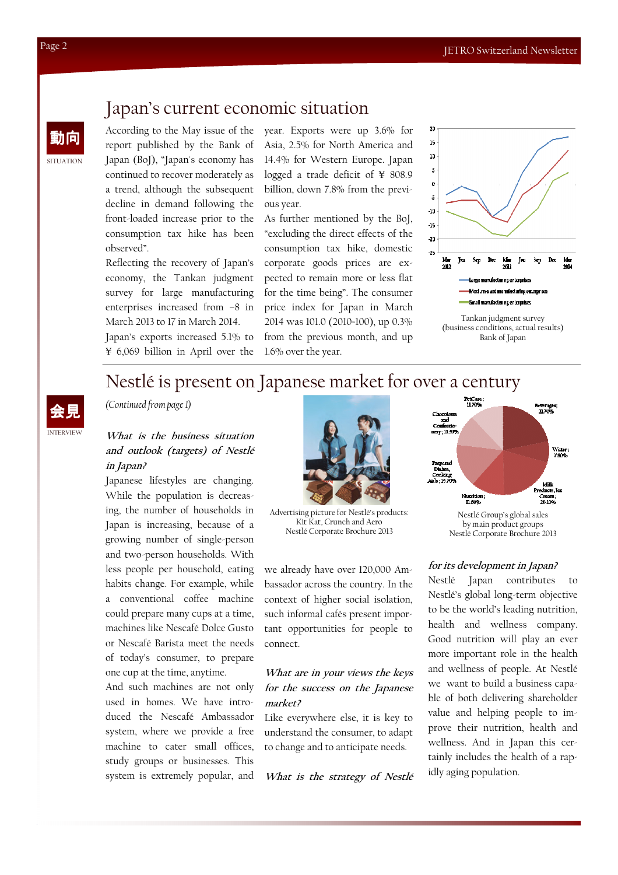# Japan's current economic situation

According to the May issue of the report published by the Bank of Japan (BoJ), "Japan's economy has continued to recover moderately as a trend, although the subsequent decline in demand following the front-loaded increase prior to the consumption tax hike has been observed".

Reflecting the recovery of Japan's economy, the Tankan judgment survey for large manufacturing enterprises increased from –8 in March 2013 to 17 in March 2014.

Japan's exports increased 5.1% to ¥ 6,069 billion in April over the year. Exports were up 3.6% for Asia, 2.5% for North America and 14.4% for Western Europe. Japan logged a trade deficit of ¥ 808.9 billion, down 7.8% from the previous year.

As further mentioned by the BoJ, "excluding the direct effects of the consumption tax hike, domestic corporate goods prices are expected to remain more or less flat for the time being". The consumer price index for Japan in March 2014 was 101.0 (2010=100), up 0.3% from the previous month, and up 1.6% over the year.





## Nestlé is present on Japanese market for over a century



(Continued from page 1)

#### What is the business situation and outlook (targets) of Nestlé in Japan?

Japanese lifestyles are changing. While the population is decreasing, the number of households in Japan is increasing, because of a growing number of single-person and two-person households. With less people per household, eating habits change. For example, while a conventional coffee machine could prepare many cups at a time, machines like Nescafé Dolce Gusto or Nescafé Barista meet the needs of today's consumer, to prepare one cup at the time, anytime.

And such machines are not only used in homes. We have introduced the Nescafé Ambassador system, where we provide a free machine to cater small offices, study groups or businesses. This system is extremely popular, and



Advertising picture for Nestlé's products: Kit Kat, Crunch and Aero Nestlé Corporate Brochure 2013

we already have over 120,000 Ambassador across the country. In the context of higher social isolation, such informal cafés present important opportunities for people to connect.

#### What are in your views the keys for the success on the Japanese market?

Like everywhere else, it is key to understand the consumer, to adapt to change and to anticipate needs.

What is the strategy of Nestlé



by main product groups Nestlé Corporate Brochure 2013

#### for its development in Japan?

Nestlé Japan contributes to Nestlé's global long-term objective to be the world's leading nutrition, health and wellness company. Good nutrition will play an ever more important role in the health and wellness of people. At Nestlé we want to build a business capable of both delivering shareholder value and helping people to improve their nutrition, health and wellness. And in Japan this certainly includes the health of a rapidly aging population.

SITUATION

動向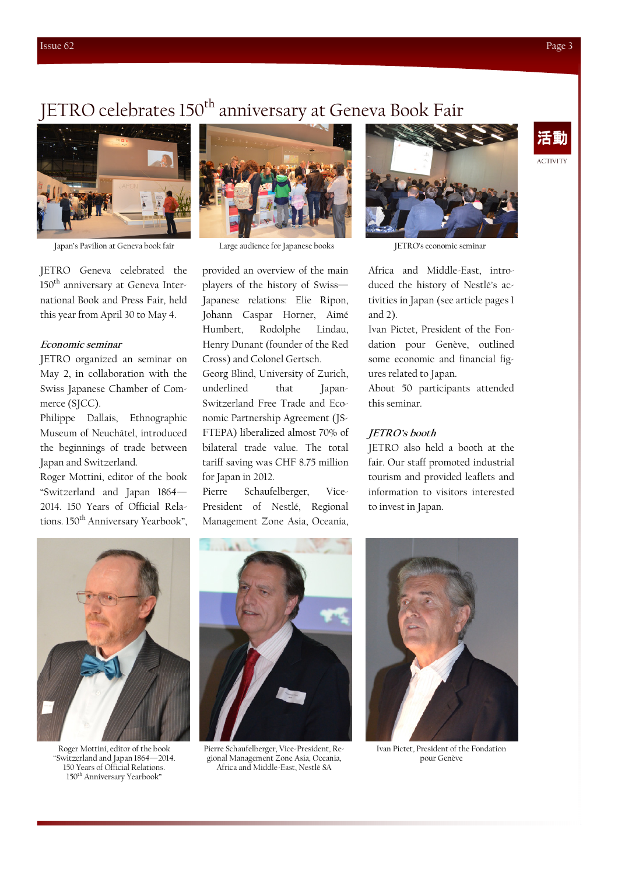# JETRO celebrates 150<sup>th</sup> anniversary at Geneva Book Fair



Japan's Pavilion at Geneva book fair Large audience for Japanese books JETRO's economic seminar

JETRO Geneva celebrated the 150<sup>th</sup> anniversary at Geneva International Book and Press Fair, held this year from April 30 to May 4.

#### Economic seminar

JETRO organized an seminar on May 2, in collaboration with the Swiss Japanese Chamber of Commerce (SJCC).

Philippe Dallais, Ethnographic Museum of Neuchâtel, introduced the beginnings of trade between Japan and Switzerland.

Roger Mottini, editor of the book "Switzerland and Japan 1864— 2014. 150 Years of Official Relations. 150<sup>th</sup> Anniversary Yearbook",



provided an overview of the main players of the history of Swiss— Japanese relations: Elie Ripon, Johann Caspar Horner, Aimé Humbert, Rodolphe Lindau, Henry Dunant (founder of the Red Cross) and Colonel Gertsch. Georg Blind, University of Zurich, underlined that Japan-Switzerland Free Trade and Economic Partnership Agreement (JS-FTEPA) liberalized almost 70% of bilateral trade value. The total tariff saving was CHF 8.75 million for Japan in 2012.

Pierre Schaufelberger, Vice-President of Nestlé, Regional Management Zone Asia, Oceania,



Africa and Middle-East, introduced the history of Nestlé's activities in Japan (see article pages 1 and 2).

Ivan Pictet, President of the Fondation pour Genève, outlined some economic and financial figures related to Japan.

About 50 participants attended this seminar.

#### JETRO's booth

JETRO also held a booth at the fair. Our staff promoted industrial tourism and provided leaflets and information to visitors interested to invest in Japan.



Roger Mottini, editor of the book "Switzerland and Japan 1864—2014. 150 Years of Official Relations. 150th Anniversary Yearbook"



Pierre Schaufelberger, Vice-President, Regional Management Zone Asia, Oceania, Africa and Middle-East, Nestlé SA



Ivan Pictet, President of the Fondation pour Genève

**ACTIVITY** 活動